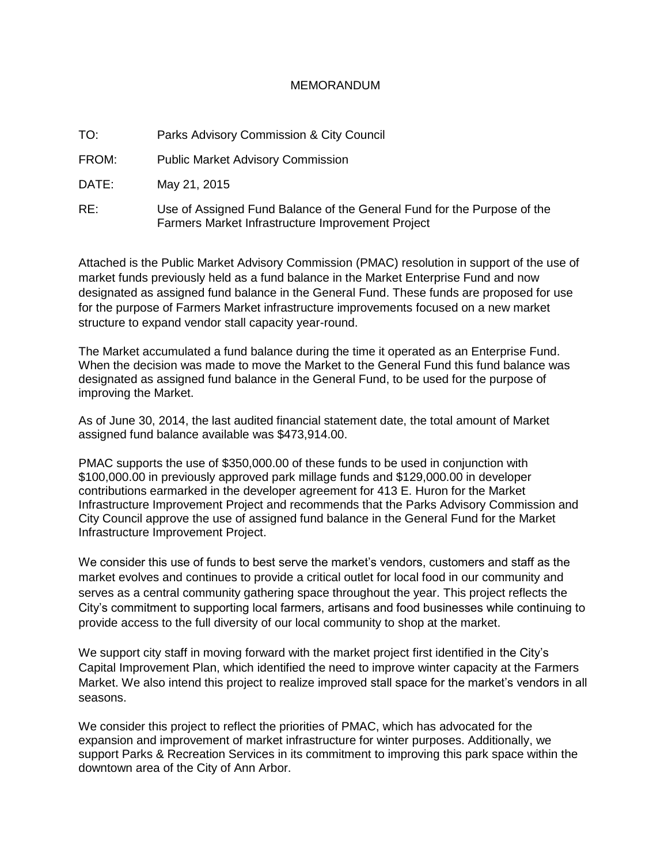## MEMORANDUM

TO: Parks Advisory Commission & City Council

FROM: Public Market Advisory Commission

DATE: May 21, 2015

RE: Use of Assigned Fund Balance of the General Fund for the Purpose of the Farmers Market Infrastructure Improvement Project

Attached is the Public Market Advisory Commission (PMAC) resolution in support of the use of market funds previously held as a fund balance in the Market Enterprise Fund and now designated as assigned fund balance in the General Fund. These funds are proposed for use for the purpose of Farmers Market infrastructure improvements focused on a new market structure to expand vendor stall capacity year-round.

The Market accumulated a fund balance during the time it operated as an Enterprise Fund. When the decision was made to move the Market to the General Fund this fund balance was designated as assigned fund balance in the General Fund, to be used for the purpose of improving the Market.

As of June 30, 2014, the last audited financial statement date, the total amount of Market assigned fund balance available was \$473,914.00.

PMAC supports the use of \$350,000.00 of these funds to be used in conjunction with \$100,000.00 in previously approved park millage funds and \$129,000.00 in developer contributions earmarked in the developer agreement for 413 E. Huron for the Market Infrastructure Improvement Project and recommends that the Parks Advisory Commission and City Council approve the use of assigned fund balance in the General Fund for the Market Infrastructure Improvement Project.

We consider this use of funds to best serve the market's vendors, customers and staff as the market evolves and continues to provide a critical outlet for local food in our community and serves as a central community gathering space throughout the year. This project reflects the City's commitment to supporting local farmers, artisans and food businesses while continuing to provide access to the full diversity of our local community to shop at the market.

We support city staff in moving forward with the market project first identified in the City's Capital Improvement Plan, which identified the need to improve winter capacity at the Farmers Market. We also intend this project to realize improved stall space for the market's vendors in all seasons.

We consider this project to reflect the priorities of PMAC, which has advocated for the expansion and improvement of market infrastructure for winter purposes. Additionally, we support Parks & Recreation Services in its commitment to improving this park space within the downtown area of the City of Ann Arbor.